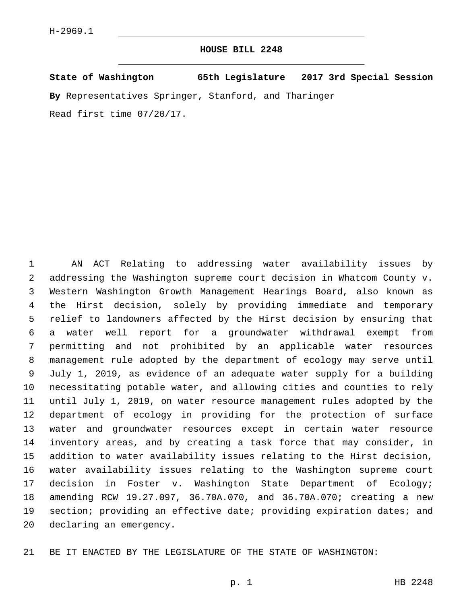## **HOUSE BILL 2248**

**State of Washington 65th Legislature 2017 3rd Special Session By** Representatives Springer, Stanford, and Tharinger Read first time 07/20/17.

 AN ACT Relating to addressing water availability issues by addressing the Washington supreme court decision in Whatcom County v. Western Washington Growth Management Hearings Board, also known as the Hirst decision, solely by providing immediate and temporary relief to landowners affected by the Hirst decision by ensuring that a water well report for a groundwater withdrawal exempt from permitting and not prohibited by an applicable water resources management rule adopted by the department of ecology may serve until July 1, 2019, as evidence of an adequate water supply for a building necessitating potable water, and allowing cities and counties to rely until July 1, 2019, on water resource management rules adopted by the department of ecology in providing for the protection of surface water and groundwater resources except in certain water resource inventory areas, and by creating a task force that may consider, in addition to water availability issues relating to the Hirst decision, water availability issues relating to the Washington supreme court decision in Foster v. Washington State Department of Ecology; amending RCW 19.27.097, 36.70A.070, and 36.70A.070; creating a new 19 section; providing an effective date; providing expiration dates; and 20 declaring an emergency.

BE IT ENACTED BY THE LEGISLATURE OF THE STATE OF WASHINGTON: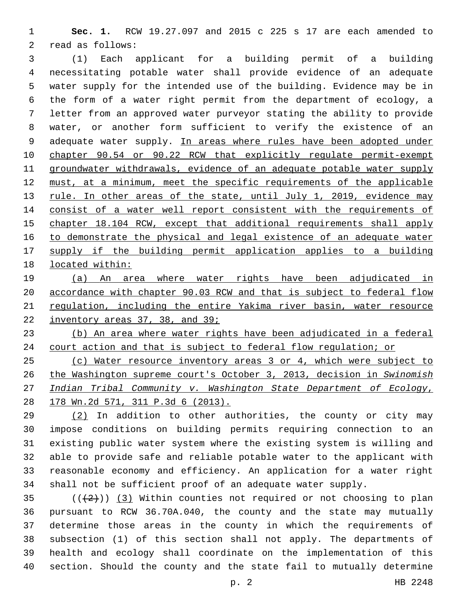**Sec. 1.** RCW 19.27.097 and 2015 c 225 s 17 are each amended to 2 read as follows:

 (1) Each applicant for a building permit of a building necessitating potable water shall provide evidence of an adequate water supply for the intended use of the building. Evidence may be in the form of a water right permit from the department of ecology, a letter from an approved water purveyor stating the ability to provide water, or another form sufficient to verify the existence of an adequate water supply. In areas where rules have been adopted under chapter 90.54 or 90.22 RCW that explicitly regulate permit-exempt groundwater withdrawals, evidence of an adequate potable water supply must, at a minimum, meet the specific requirements of the applicable 13 rule. In other areas of the state, until July 1, 2019, evidence may consist of a water well report consistent with the requirements of 15 chapter 18.104 RCW, except that additional requirements shall apply to demonstrate the physical and legal existence of an adequate water supply if the building permit application applies to a building located within:

 (a) An area where water rights have been adjudicated in accordance with chapter 90.03 RCW and that is subject to federal flow regulation, including the entire Yakima river basin, water resource inventory areas 37, 38, and 39;

 (b) An area where water rights have been adjudicated in a federal court action and that is subject to federal flow regulation; or

 (c) Water resource inventory areas 3 or 4, which were subject to the Washington supreme court's October 3, 2013, decision in *Swinomish Indian Tribal Community v. Washington State Department of Ecology*, 178 Wn.2d 571, 311 P.3d 6 (2013).

 (2) In addition to other authorities, the county or city may impose conditions on building permits requiring connection to an existing public water system where the existing system is willing and able to provide safe and reliable potable water to the applicant with reasonable economy and efficiency. An application for a water right shall not be sufficient proof of an adequate water supply.

 $((+2))$   $(3)$  Within counties not required or not choosing to plan pursuant to RCW 36.70A.040, the county and the state may mutually determine those areas in the county in which the requirements of subsection (1) of this section shall not apply. The departments of health and ecology shall coordinate on the implementation of this section. Should the county and the state fail to mutually determine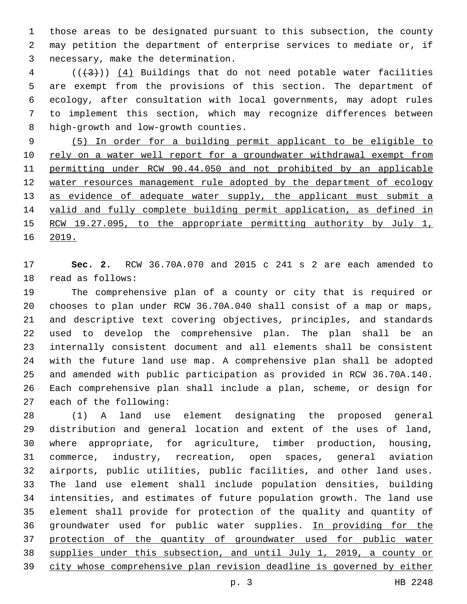those areas to be designated pursuant to this subsection, the county may petition the department of enterprise services to mediate or, if necessary, make the determination.3

 ( $(\overline{+3})$ )  $(4)$  Buildings that do not need potable water facilities are exempt from the provisions of this section. The department of ecology, after consultation with local governments, may adopt rules to implement this section, which may recognize differences between 8 high-growth and low-growth counties.

 (5) In order for a building permit applicant to be eligible to 10 rely on a water well report for a groundwater withdrawal exempt from permitting under RCW 90.44.050 and not prohibited by an applicable water resources management rule adopted by the department of ecology 13 as evidence of adequate water supply, the applicant must submit a valid and fully complete building permit application, as defined in RCW 19.27.095, to the appropriate permitting authority by July 1, 2019.

 **Sec. 2.** RCW 36.70A.070 and 2015 c 241 s 2 are each amended to 18 read as follows:

 The comprehensive plan of a county or city that is required or chooses to plan under RCW 36.70A.040 shall consist of a map or maps, and descriptive text covering objectives, principles, and standards used to develop the comprehensive plan. The plan shall be an internally consistent document and all elements shall be consistent with the future land use map. A comprehensive plan shall be adopted and amended with public participation as provided in RCW 36.70A.140. Each comprehensive plan shall include a plan, scheme, or design for 27 each of the following:

 (1) A land use element designating the proposed general distribution and general location and extent of the uses of land, where appropriate, for agriculture, timber production, housing, commerce, industry, recreation, open spaces, general aviation airports, public utilities, public facilities, and other land uses. The land use element shall include population densities, building intensities, and estimates of future population growth. The land use element shall provide for protection of the quality and quantity of 36 groundwater used for public water supplies. In providing for the protection of the quantity of groundwater used for public water supplies under this subsection, and until July 1, 2019, a county or city whose comprehensive plan revision deadline is governed by either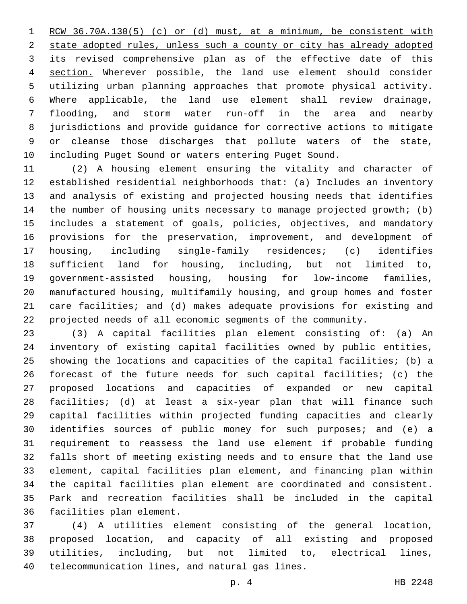RCW 36.70A.130(5) (c) or (d) must, at a minimum, be consistent with state adopted rules, unless such a county or city has already adopted its revised comprehensive plan as of the effective date of this section. Wherever possible, the land use element should consider utilizing urban planning approaches that promote physical activity. Where applicable, the land use element shall review drainage, flooding, and storm water run-off in the area and nearby jurisdictions and provide guidance for corrective actions to mitigate or cleanse those discharges that pollute waters of the state, including Puget Sound or waters entering Puget Sound.

 (2) A housing element ensuring the vitality and character of established residential neighborhoods that: (a) Includes an inventory and analysis of existing and projected housing needs that identifies the number of housing units necessary to manage projected growth; (b) includes a statement of goals, policies, objectives, and mandatory provisions for the preservation, improvement, and development of housing, including single-family residences; (c) identifies sufficient land for housing, including, but not limited to, government-assisted housing, housing for low-income families, manufactured housing, multifamily housing, and group homes and foster care facilities; and (d) makes adequate provisions for existing and projected needs of all economic segments of the community.

 (3) A capital facilities plan element consisting of: (a) An inventory of existing capital facilities owned by public entities, showing the locations and capacities of the capital facilities; (b) a forecast of the future needs for such capital facilities; (c) the proposed locations and capacities of expanded or new capital facilities; (d) at least a six-year plan that will finance such capital facilities within projected funding capacities and clearly identifies sources of public money for such purposes; and (e) a requirement to reassess the land use element if probable funding falls short of meeting existing needs and to ensure that the land use element, capital facilities plan element, and financing plan within the capital facilities plan element are coordinated and consistent. Park and recreation facilities shall be included in the capital 36 facilities plan element.

 (4) A utilities element consisting of the general location, proposed location, and capacity of all existing and proposed utilities, including, but not limited to, electrical lines, 40 telecommunication lines, and natural gas lines.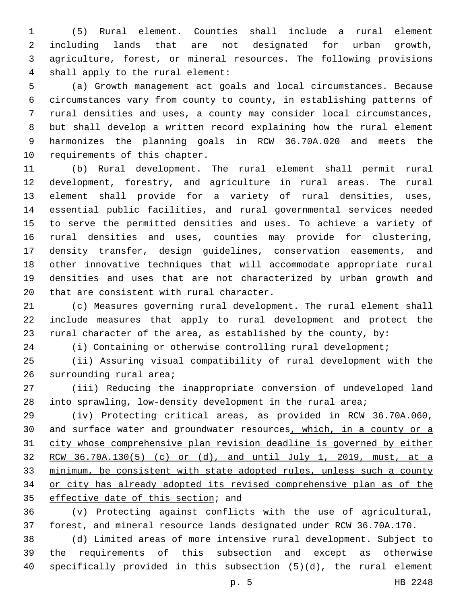(5) Rural element. Counties shall include a rural element including lands that are not designated for urban growth, agriculture, forest, or mineral resources. The following provisions shall apply to the rural element:4

 (a) Growth management act goals and local circumstances. Because circumstances vary from county to county, in establishing patterns of rural densities and uses, a county may consider local circumstances, but shall develop a written record explaining how the rural element harmonizes the planning goals in RCW 36.70A.020 and meets the 10 requirements of this chapter.

 (b) Rural development. The rural element shall permit rural development, forestry, and agriculture in rural areas. The rural element shall provide for a variety of rural densities, uses, essential public facilities, and rural governmental services needed to serve the permitted densities and uses. To achieve a variety of rural densities and uses, counties may provide for clustering, density transfer, design guidelines, conservation easements, and other innovative techniques that will accommodate appropriate rural densities and uses that are not characterized by urban growth and 20 that are consistent with rural character.

 (c) Measures governing rural development. The rural element shall include measures that apply to rural development and protect the rural character of the area, as established by the county, by:

(i) Containing or otherwise controlling rural development;

 (ii) Assuring visual compatibility of rural development with the 26 surrounding rural area;

 (iii) Reducing the inappropriate conversion of undeveloped land into sprawling, low-density development in the rural area;

 (iv) Protecting critical areas, as provided in RCW 36.70A.060, 30 and surface water and groundwater resources, which, in a county or a city whose comprehensive plan revision deadline is governed by either RCW 36.70A.130(5) (c) or (d), and until July 1, 2019, must, at a minimum, be consistent with state adopted rules, unless such a county or city has already adopted its revised comprehensive plan as of the 35 effective date of this section; and

 (v) Protecting against conflicts with the use of agricultural, forest, and mineral resource lands designated under RCW 36.70A.170.

 (d) Limited areas of more intensive rural development. Subject to the requirements of this subsection and except as otherwise specifically provided in this subsection (5)(d), the rural element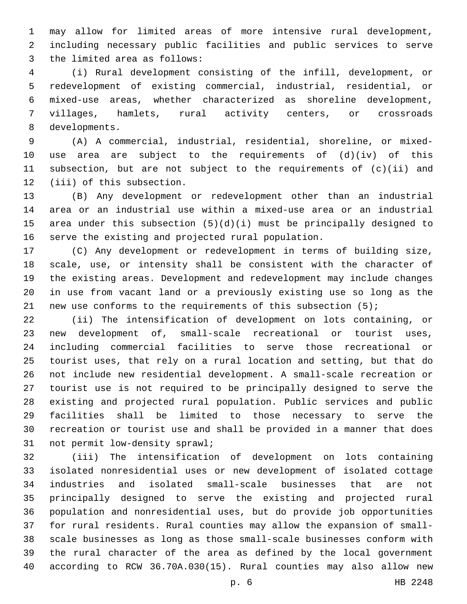may allow for limited areas of more intensive rural development, including necessary public facilities and public services to serve 3 the limited area as follows:

 (i) Rural development consisting of the infill, development, or redevelopment of existing commercial, industrial, residential, or mixed-use areas, whether characterized as shoreline development, villages, hamlets, rural activity centers, or crossroads 8 developments.

 (A) A commercial, industrial, residential, shoreline, or mixed- use area are subject to the requirements of (d)(iv) of this subsection, but are not subject to the requirements of (c)(ii) and 12 (iii) of this subsection.

 (B) Any development or redevelopment other than an industrial area or an industrial use within a mixed-use area or an industrial area under this subsection (5)(d)(i) must be principally designed to serve the existing and projected rural population.

 (C) Any development or redevelopment in terms of building size, scale, use, or intensity shall be consistent with the character of the existing areas. Development and redevelopment may include changes in use from vacant land or a previously existing use so long as the 21 new use conforms to the requirements of this subsection  $(5)$ ;

 (ii) The intensification of development on lots containing, or new development of, small-scale recreational or tourist uses, including commercial facilities to serve those recreational or tourist uses, that rely on a rural location and setting, but that do not include new residential development. A small-scale recreation or tourist use is not required to be principally designed to serve the existing and projected rural population. Public services and public facilities shall be limited to those necessary to serve the recreation or tourist use and shall be provided in a manner that does 31 not permit low-density sprawl;

 (iii) The intensification of development on lots containing isolated nonresidential uses or new development of isolated cottage industries and isolated small-scale businesses that are not principally designed to serve the existing and projected rural population and nonresidential uses, but do provide job opportunities for rural residents. Rural counties may allow the expansion of small- scale businesses as long as those small-scale businesses conform with the rural character of the area as defined by the local government according to RCW 36.70A.030(15). Rural counties may also allow new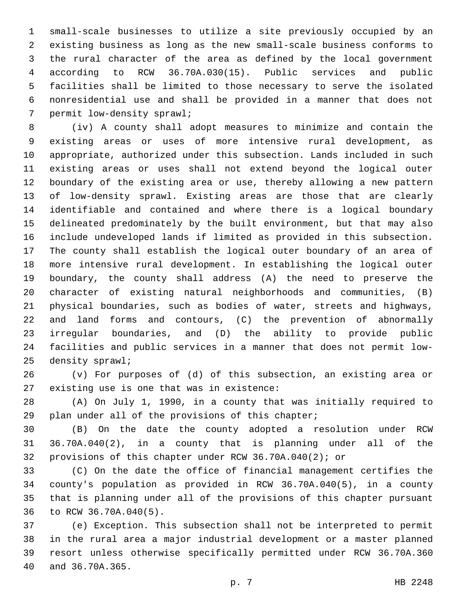small-scale businesses to utilize a site previously occupied by an existing business as long as the new small-scale business conforms to the rural character of the area as defined by the local government according to RCW 36.70A.030(15). Public services and public facilities shall be limited to those necessary to serve the isolated nonresidential use and shall be provided in a manner that does not 7 permit low-density sprawl;

 (iv) A county shall adopt measures to minimize and contain the existing areas or uses of more intensive rural development, as appropriate, authorized under this subsection. Lands included in such existing areas or uses shall not extend beyond the logical outer boundary of the existing area or use, thereby allowing a new pattern of low-density sprawl. Existing areas are those that are clearly identifiable and contained and where there is a logical boundary delineated predominately by the built environment, but that may also include undeveloped lands if limited as provided in this subsection. The county shall establish the logical outer boundary of an area of more intensive rural development. In establishing the logical outer boundary, the county shall address (A) the need to preserve the character of existing natural neighborhoods and communities, (B) physical boundaries, such as bodies of water, streets and highways, and land forms and contours, (C) the prevention of abnormally irregular boundaries, and (D) the ability to provide public facilities and public services in a manner that does not permit low-25 density sprawl;

 (v) For purposes of (d) of this subsection, an existing area or 27 existing use is one that was in existence:

 (A) On July 1, 1990, in a county that was initially required to 29 plan under all of the provisions of this chapter;

 (B) On the date the county adopted a resolution under RCW 36.70A.040(2), in a county that is planning under all of the provisions of this chapter under RCW 36.70A.040(2); or

 (C) On the date the office of financial management certifies the county's population as provided in RCW 36.70A.040(5), in a county that is planning under all of the provisions of this chapter pursuant 36 to RCW 36.70A.040(5).

 (e) Exception. This subsection shall not be interpreted to permit in the rural area a major industrial development or a master planned resort unless otherwise specifically permitted under RCW 36.70A.360 40 and 36.70A.365.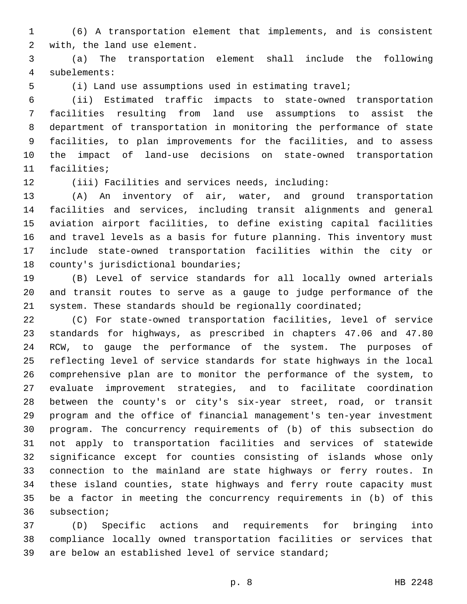(6) A transportation element that implements, and is consistent 2 with, the land use element.

 (a) The transportation element shall include the following subelements:4

(i) Land use assumptions used in estimating travel;

 (ii) Estimated traffic impacts to state-owned transportation facilities resulting from land use assumptions to assist the department of transportation in monitoring the performance of state facilities, to plan improvements for the facilities, and to assess the impact of land-use decisions on state-owned transportation 11 facilities;

(iii) Facilities and services needs, including:

 (A) An inventory of air, water, and ground transportation facilities and services, including transit alignments and general aviation airport facilities, to define existing capital facilities and travel levels as a basis for future planning. This inventory must include state-owned transportation facilities within the city or 18 county's jurisdictional boundaries;

 (B) Level of service standards for all locally owned arterials and transit routes to serve as a gauge to judge performance of the system. These standards should be regionally coordinated;

 (C) For state-owned transportation facilities, level of service standards for highways, as prescribed in chapters 47.06 and 47.80 RCW, to gauge the performance of the system. The purposes of reflecting level of service standards for state highways in the local comprehensive plan are to monitor the performance of the system, to evaluate improvement strategies, and to facilitate coordination between the county's or city's six-year street, road, or transit program and the office of financial management's ten-year investment program. The concurrency requirements of (b) of this subsection do not apply to transportation facilities and services of statewide significance except for counties consisting of islands whose only connection to the mainland are state highways or ferry routes. In these island counties, state highways and ferry route capacity must be a factor in meeting the concurrency requirements in (b) of this 36 subsection;

 (D) Specific actions and requirements for bringing into compliance locally owned transportation facilities or services that are below an established level of service standard;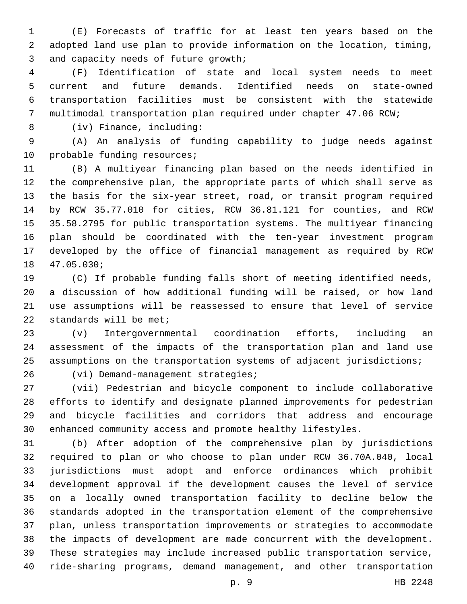(E) Forecasts of traffic for at least ten years based on the adopted land use plan to provide information on the location, timing, 3 and capacity needs of future growth;

 (F) Identification of state and local system needs to meet current and future demands. Identified needs on state-owned transportation facilities must be consistent with the statewide multimodal transportation plan required under chapter 47.06 RCW;

(iv) Finance, including:8

 (A) An analysis of funding capability to judge needs against 10 probable funding resources;

 (B) A multiyear financing plan based on the needs identified in the comprehensive plan, the appropriate parts of which shall serve as the basis for the six-year street, road, or transit program required by RCW 35.77.010 for cities, RCW 36.81.121 for counties, and RCW 35.58.2795 for public transportation systems. The multiyear financing plan should be coordinated with the ten-year investment program developed by the office of financial management as required by RCW 47.05.030;18

 (C) If probable funding falls short of meeting identified needs, a discussion of how additional funding will be raised, or how land use assumptions will be reassessed to ensure that level of service standards will be met;

 (v) Intergovernmental coordination efforts, including an assessment of the impacts of the transportation plan and land use assumptions on the transportation systems of adjacent jurisdictions;

26 (vi) Demand-management strategies;

 (vii) Pedestrian and bicycle component to include collaborative efforts to identify and designate planned improvements for pedestrian and bicycle facilities and corridors that address and encourage enhanced community access and promote healthy lifestyles.

 (b) After adoption of the comprehensive plan by jurisdictions required to plan or who choose to plan under RCW 36.70A.040, local jurisdictions must adopt and enforce ordinances which prohibit development approval if the development causes the level of service on a locally owned transportation facility to decline below the standards adopted in the transportation element of the comprehensive plan, unless transportation improvements or strategies to accommodate the impacts of development are made concurrent with the development. These strategies may include increased public transportation service, ride-sharing programs, demand management, and other transportation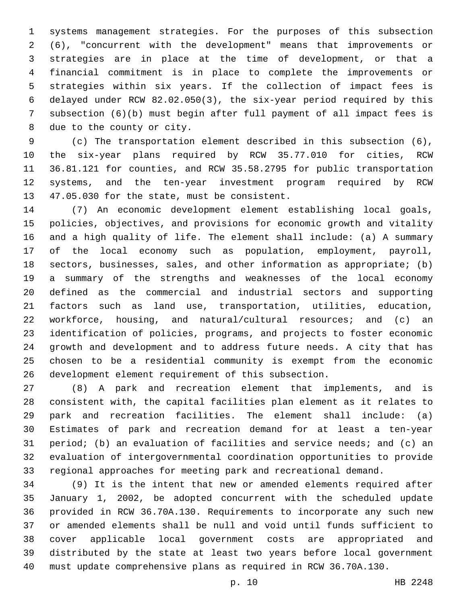systems management strategies. For the purposes of this subsection (6), "concurrent with the development" means that improvements or strategies are in place at the time of development, or that a financial commitment is in place to complete the improvements or strategies within six years. If the collection of impact fees is delayed under RCW 82.02.050(3), the six-year period required by this subsection (6)(b) must begin after full payment of all impact fees is 8 due to the county or city.

 (c) The transportation element described in this subsection (6), the six-year plans required by RCW 35.77.010 for cities, RCW 36.81.121 for counties, and RCW 35.58.2795 for public transportation systems, and the ten-year investment program required by RCW 13 47.05.030 for the state, must be consistent.

 (7) An economic development element establishing local goals, policies, objectives, and provisions for economic growth and vitality and a high quality of life. The element shall include: (a) A summary of the local economy such as population, employment, payroll, sectors, businesses, sales, and other information as appropriate; (b) a summary of the strengths and weaknesses of the local economy defined as the commercial and industrial sectors and supporting factors such as land use, transportation, utilities, education, workforce, housing, and natural/cultural resources; and (c) an identification of policies, programs, and projects to foster economic growth and development and to address future needs. A city that has chosen to be a residential community is exempt from the economic development element requirement of this subsection.

 (8) A park and recreation element that implements, and is consistent with, the capital facilities plan element as it relates to park and recreation facilities. The element shall include: (a) Estimates of park and recreation demand for at least a ten-year period; (b) an evaluation of facilities and service needs; and (c) an evaluation of intergovernmental coordination opportunities to provide regional approaches for meeting park and recreational demand.

 (9) It is the intent that new or amended elements required after January 1, 2002, be adopted concurrent with the scheduled update provided in RCW 36.70A.130. Requirements to incorporate any such new or amended elements shall be null and void until funds sufficient to cover applicable local government costs are appropriated and distributed by the state at least two years before local government must update comprehensive plans as required in RCW 36.70A.130.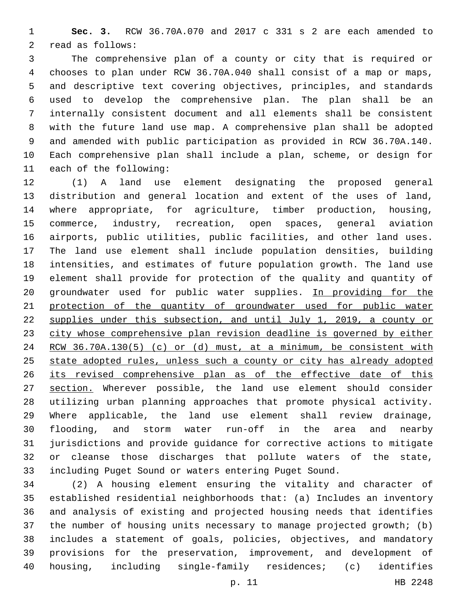**Sec. 3.** RCW 36.70A.070 and 2017 c 331 s 2 are each amended to 2 read as follows:

 The comprehensive plan of a county or city that is required or chooses to plan under RCW 36.70A.040 shall consist of a map or maps, and descriptive text covering objectives, principles, and standards used to develop the comprehensive plan. The plan shall be an internally consistent document and all elements shall be consistent with the future land use map. A comprehensive plan shall be adopted and amended with public participation as provided in RCW 36.70A.140. Each comprehensive plan shall include a plan, scheme, or design for 11 each of the following:

 (1) A land use element designating the proposed general distribution and general location and extent of the uses of land, where appropriate, for agriculture, timber production, housing, commerce, industry, recreation, open spaces, general aviation airports, public utilities, public facilities, and other land uses. The land use element shall include population densities, building intensities, and estimates of future population growth. The land use element shall provide for protection of the quality and quantity of 20 groundwater used for public water supplies. In providing for the 21 protection of the quantity of groundwater used for public water supplies under this subsection, and until July 1, 2019, a county or city whose comprehensive plan revision deadline is governed by either RCW 36.70A.130(5) (c) or (d) must, at a minimum, be consistent with state adopted rules, unless such a county or city has already adopted its revised comprehensive plan as of the effective date of this 27 section. Wherever possible, the land use element should consider utilizing urban planning approaches that promote physical activity. Where applicable, the land use element shall review drainage, flooding, and storm water run-off in the area and nearby jurisdictions and provide guidance for corrective actions to mitigate or cleanse those discharges that pollute waters of the state, including Puget Sound or waters entering Puget Sound.

 (2) A housing element ensuring the vitality and character of established residential neighborhoods that: (a) Includes an inventory and analysis of existing and projected housing needs that identifies the number of housing units necessary to manage projected growth; (b) includes a statement of goals, policies, objectives, and mandatory provisions for the preservation, improvement, and development of housing, including single-family residences; (c) identifies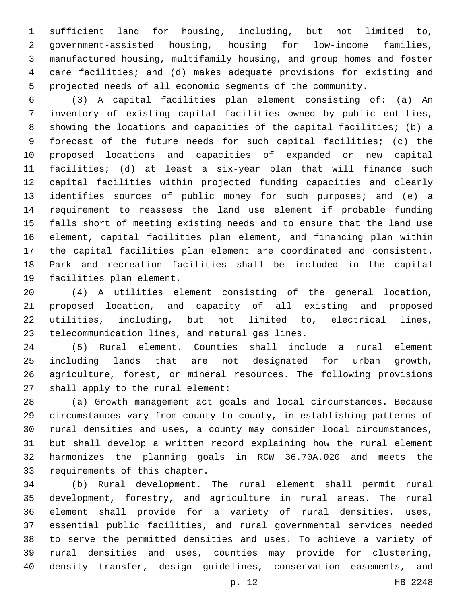sufficient land for housing, including, but not limited to, government-assisted housing, housing for low-income families, manufactured housing, multifamily housing, and group homes and foster care facilities; and (d) makes adequate provisions for existing and projected needs of all economic segments of the community.

 (3) A capital facilities plan element consisting of: (a) An inventory of existing capital facilities owned by public entities, showing the locations and capacities of the capital facilities; (b) a forecast of the future needs for such capital facilities; (c) the proposed locations and capacities of expanded or new capital facilities; (d) at least a six-year plan that will finance such capital facilities within projected funding capacities and clearly identifies sources of public money for such purposes; and (e) a requirement to reassess the land use element if probable funding falls short of meeting existing needs and to ensure that the land use element, capital facilities plan element, and financing plan within the capital facilities plan element are coordinated and consistent. Park and recreation facilities shall be included in the capital 19 facilities plan element.

 (4) A utilities element consisting of the general location, proposed location, and capacity of all existing and proposed utilities, including, but not limited to, electrical lines, 23 telecommunication lines, and natural gas lines.

 (5) Rural element. Counties shall include a rural element including lands that are not designated for urban growth, agriculture, forest, or mineral resources. The following provisions 27 shall apply to the rural element:

 (a) Growth management act goals and local circumstances. Because circumstances vary from county to county, in establishing patterns of rural densities and uses, a county may consider local circumstances, but shall develop a written record explaining how the rural element harmonizes the planning goals in RCW 36.70A.020 and meets the 33 requirements of this chapter.

 (b) Rural development. The rural element shall permit rural development, forestry, and agriculture in rural areas. The rural element shall provide for a variety of rural densities, uses, essential public facilities, and rural governmental services needed to serve the permitted densities and uses. To achieve a variety of rural densities and uses, counties may provide for clustering, density transfer, design guidelines, conservation easements, and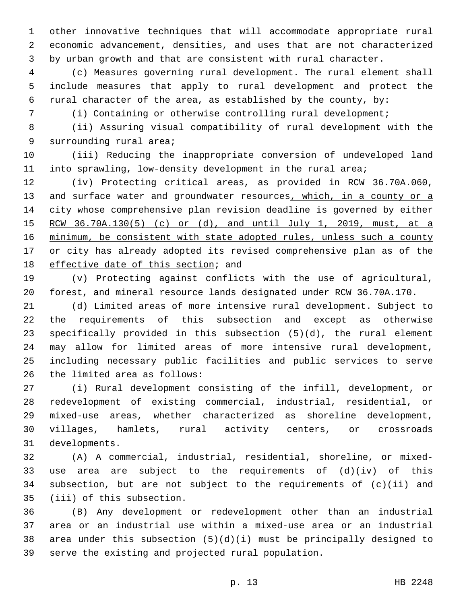other innovative techniques that will accommodate appropriate rural economic advancement, densities, and uses that are not characterized by urban growth and that are consistent with rural character.

 (c) Measures governing rural development. The rural element shall include measures that apply to rural development and protect the rural character of the area, as established by the county, by:

(i) Containing or otherwise controlling rural development;

 (ii) Assuring visual compatibility of rural development with the 9 surrounding rural area;

 (iii) Reducing the inappropriate conversion of undeveloped land into sprawling, low-density development in the rural area;

 (iv) Protecting critical areas, as provided in RCW 36.70A.060, 13 and surface water and groundwater resources, which, in a county or a city whose comprehensive plan revision deadline is governed by either RCW 36.70A.130(5) (c) or (d), and until July 1, 2019, must, at a minimum, be consistent with state adopted rules, unless such a county 17 or city has already adopted its revised comprehensive plan as of the 18 effective date of this section; and

 (v) Protecting against conflicts with the use of agricultural, forest, and mineral resource lands designated under RCW 36.70A.170.

 (d) Limited areas of more intensive rural development. Subject to the requirements of this subsection and except as otherwise specifically provided in this subsection (5)(d), the rural element may allow for limited areas of more intensive rural development, including necessary public facilities and public services to serve 26 the limited area as follows:

 (i) Rural development consisting of the infill, development, or redevelopment of existing commercial, industrial, residential, or mixed-use areas, whether characterized as shoreline development, villages, hamlets, rural activity centers, or crossroads developments.31

 (A) A commercial, industrial, residential, shoreline, or mixed- use area are subject to the requirements of (d)(iv) of this subsection, but are not subject to the requirements of (c)(ii) and 35 (iii) of this subsection.

 (B) Any development or redevelopment other than an industrial area or an industrial use within a mixed-use area or an industrial 38 area under this subsection  $(5)(d)(i)$  must be principally designed to serve the existing and projected rural population.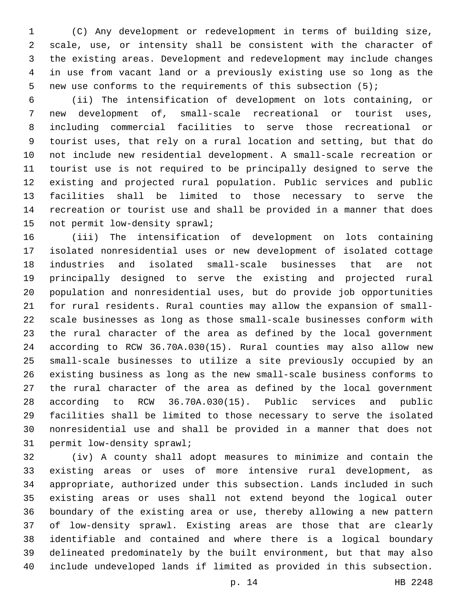(C) Any development or redevelopment in terms of building size, scale, use, or intensity shall be consistent with the character of the existing areas. Development and redevelopment may include changes in use from vacant land or a previously existing use so long as the new use conforms to the requirements of this subsection (5);

 (ii) The intensification of development on lots containing, or new development of, small-scale recreational or tourist uses, including commercial facilities to serve those recreational or tourist uses, that rely on a rural location and setting, but that do not include new residential development. A small-scale recreation or tourist use is not required to be principally designed to serve the existing and projected rural population. Public services and public facilities shall be limited to those necessary to serve the recreation or tourist use and shall be provided in a manner that does 15 not permit low-density sprawl;

 (iii) The intensification of development on lots containing isolated nonresidential uses or new development of isolated cottage industries and isolated small-scale businesses that are not principally designed to serve the existing and projected rural population and nonresidential uses, but do provide job opportunities for rural residents. Rural counties may allow the expansion of small- scale businesses as long as those small-scale businesses conform with the rural character of the area as defined by the local government according to RCW 36.70A.030(15). Rural counties may also allow new small-scale businesses to utilize a site previously occupied by an existing business as long as the new small-scale business conforms to the rural character of the area as defined by the local government according to RCW 36.70A.030(15). Public services and public facilities shall be limited to those necessary to serve the isolated nonresidential use and shall be provided in a manner that does not 31 permit low-density sprawl;

 (iv) A county shall adopt measures to minimize and contain the existing areas or uses of more intensive rural development, as appropriate, authorized under this subsection. Lands included in such existing areas or uses shall not extend beyond the logical outer boundary of the existing area or use, thereby allowing a new pattern of low-density sprawl. Existing areas are those that are clearly identifiable and contained and where there is a logical boundary delineated predominately by the built environment, but that may also include undeveloped lands if limited as provided in this subsection.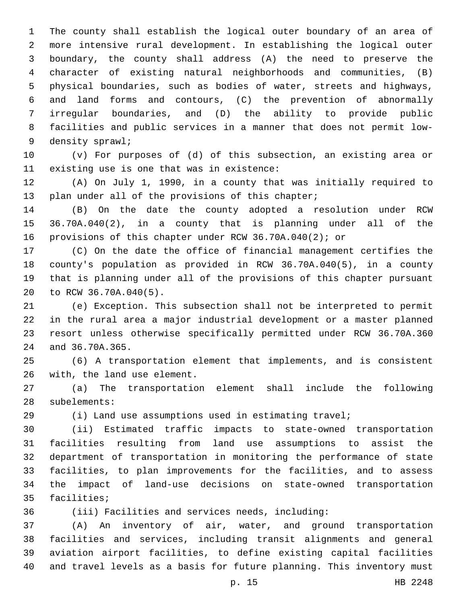The county shall establish the logical outer boundary of an area of more intensive rural development. In establishing the logical outer boundary, the county shall address (A) the need to preserve the character of existing natural neighborhoods and communities, (B) physical boundaries, such as bodies of water, streets and highways, and land forms and contours, (C) the prevention of abnormally irregular boundaries, and (D) the ability to provide public facilities and public services in a manner that does not permit low-9 density sprawl;

 (v) For purposes of (d) of this subsection, an existing area or 11 existing use is one that was in existence:

 (A) On July 1, 1990, in a county that was initially required to 13 plan under all of the provisions of this chapter;

 (B) On the date the county adopted a resolution under RCW 36.70A.040(2), in a county that is planning under all of the provisions of this chapter under RCW 36.70A.040(2); or

 (C) On the date the office of financial management certifies the county's population as provided in RCW 36.70A.040(5), in a county that is planning under all of the provisions of this chapter pursuant 20 to RCW 36.70A.040(5).

 (e) Exception. This subsection shall not be interpreted to permit in the rural area a major industrial development or a master planned resort unless otherwise specifically permitted under RCW 36.70A.360 24 and 36.70A.365.

 (6) A transportation element that implements, and is consistent 26 with, the land use element.

 (a) The transportation element shall include the following 28 subelements:

(i) Land use assumptions used in estimating travel;

 (ii) Estimated traffic impacts to state-owned transportation facilities resulting from land use assumptions to assist the department of transportation in monitoring the performance of state facilities, to plan improvements for the facilities, and to assess the impact of land-use decisions on state-owned transportation 35 facilities;

(iii) Facilities and services needs, including:

 (A) An inventory of air, water, and ground transportation facilities and services, including transit alignments and general aviation airport facilities, to define existing capital facilities and travel levels as a basis for future planning. This inventory must

p. 15 HB 2248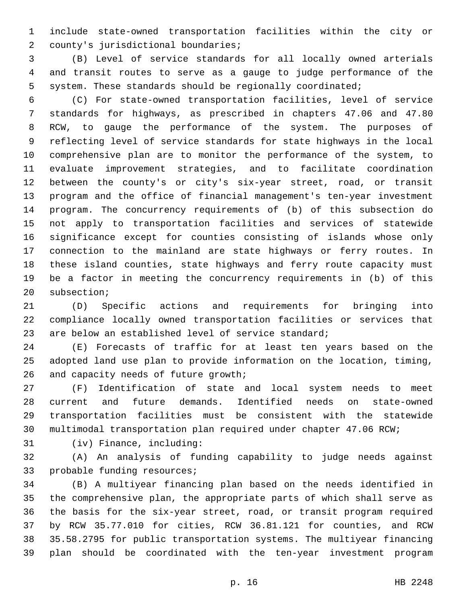include state-owned transportation facilities within the city or 2 county's jurisdictional boundaries;

 (B) Level of service standards for all locally owned arterials and transit routes to serve as a gauge to judge performance of the system. These standards should be regionally coordinated;

 (C) For state-owned transportation facilities, level of service standards for highways, as prescribed in chapters 47.06 and 47.80 RCW, to gauge the performance of the system. The purposes of reflecting level of service standards for state highways in the local comprehensive plan are to monitor the performance of the system, to evaluate improvement strategies, and to facilitate coordination between the county's or city's six-year street, road, or transit program and the office of financial management's ten-year investment program. The concurrency requirements of (b) of this subsection do not apply to transportation facilities and services of statewide significance except for counties consisting of islands whose only connection to the mainland are state highways or ferry routes. In these island counties, state highways and ferry route capacity must be a factor in meeting the concurrency requirements in (b) of this 20 subsection;

 (D) Specific actions and requirements for bringing into compliance locally owned transportation facilities or services that are below an established level of service standard;

 (E) Forecasts of traffic for at least ten years based on the adopted land use plan to provide information on the location, timing, 26 and capacity needs of future growth;

 (F) Identification of state and local system needs to meet current and future demands. Identified needs on state-owned transportation facilities must be consistent with the statewide multimodal transportation plan required under chapter 47.06 RCW;

31 (iv) Finance, including:

 (A) An analysis of funding capability to judge needs against 33 probable funding resources;

 (B) A multiyear financing plan based on the needs identified in the comprehensive plan, the appropriate parts of which shall serve as the basis for the six-year street, road, or transit program required by RCW 35.77.010 for cities, RCW 36.81.121 for counties, and RCW 35.58.2795 for public transportation systems. The multiyear financing plan should be coordinated with the ten-year investment program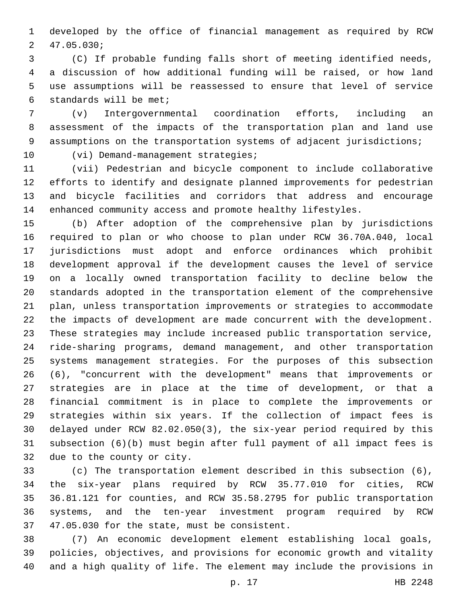developed by the office of financial management as required by RCW 47.05.030;2

 (C) If probable funding falls short of meeting identified needs, a discussion of how additional funding will be raised, or how land use assumptions will be reassessed to ensure that level of service 6 standards will be met;

 (v) Intergovernmental coordination efforts, including an assessment of the impacts of the transportation plan and land use 9 assumptions on the transportation systems of adjacent jurisdictions;

10 (vi) Demand-management strategies;

 (vii) Pedestrian and bicycle component to include collaborative efforts to identify and designate planned improvements for pedestrian and bicycle facilities and corridors that address and encourage enhanced community access and promote healthy lifestyles.

 (b) After adoption of the comprehensive plan by jurisdictions required to plan or who choose to plan under RCW 36.70A.040, local jurisdictions must adopt and enforce ordinances which prohibit development approval if the development causes the level of service on a locally owned transportation facility to decline below the standards adopted in the transportation element of the comprehensive plan, unless transportation improvements or strategies to accommodate the impacts of development are made concurrent with the development. These strategies may include increased public transportation service, ride-sharing programs, demand management, and other transportation systems management strategies. For the purposes of this subsection (6), "concurrent with the development" means that improvements or strategies are in place at the time of development, or that a financial commitment is in place to complete the improvements or strategies within six years. If the collection of impact fees is delayed under RCW 82.02.050(3), the six-year period required by this subsection (6)(b) must begin after full payment of all impact fees is 32 due to the county or city.

 (c) The transportation element described in this subsection (6), the six-year plans required by RCW 35.77.010 for cities, RCW 36.81.121 for counties, and RCW 35.58.2795 for public transportation systems, and the ten-year investment program required by RCW 37 47.05.030 for the state, must be consistent.

 (7) An economic development element establishing local goals, policies, objectives, and provisions for economic growth and vitality and a high quality of life. The element may include the provisions in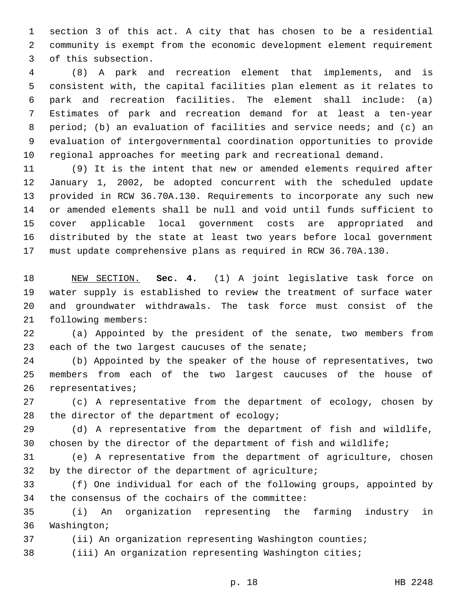section 3 of this act. A city that has chosen to be a residential community is exempt from the economic development element requirement 3 of this subsection.

 (8) A park and recreation element that implements, and is consistent with, the capital facilities plan element as it relates to park and recreation facilities. The element shall include: (a) Estimates of park and recreation demand for at least a ten-year period; (b) an evaluation of facilities and service needs; and (c) an evaluation of intergovernmental coordination opportunities to provide regional approaches for meeting park and recreational demand.

 (9) It is the intent that new or amended elements required after January 1, 2002, be adopted concurrent with the scheduled update provided in RCW 36.70A.130. Requirements to incorporate any such new or amended elements shall be null and void until funds sufficient to cover applicable local government costs are appropriated and distributed by the state at least two years before local government must update comprehensive plans as required in RCW 36.70A.130.

 NEW SECTION. **Sec. 4.** (1) A joint legislative task force on water supply is established to review the treatment of surface water and groundwater withdrawals. The task force must consist of the following members:

 (a) Appointed by the president of the senate, two members from 23 each of the two largest caucuses of the senate;

 (b) Appointed by the speaker of the house of representatives, two members from each of the two largest caucuses of the house of 26 representatives;

 (c) A representative from the department of ecology, chosen by 28 the director of the department of ecology;

 (d) A representative from the department of fish and wildlife, chosen by the director of the department of fish and wildlife;

 (e) A representative from the department of agriculture, chosen 32 by the director of the department of agriculture;

 (f) One individual for each of the following groups, appointed by 34 the consensus of the cochairs of the committee:

 (i) An organization representing the farming industry in 36 Washington;

37 (ii) An organization representing Washington counties;

(iii) An organization representing Washington cities;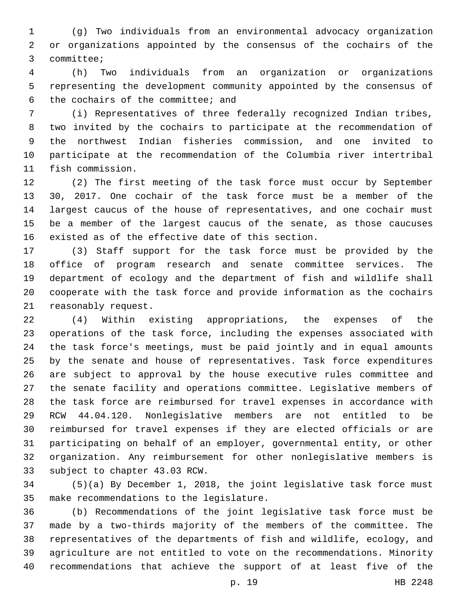(g) Two individuals from an environmental advocacy organization or organizations appointed by the consensus of the cochairs of the 3 committee;

 (h) Two individuals from an organization or organizations representing the development community appointed by the consensus of 6 the cochairs of the committee; and

 (i) Representatives of three federally recognized Indian tribes, two invited by the cochairs to participate at the recommendation of the northwest Indian fisheries commission, and one invited to participate at the recommendation of the Columbia river intertribal 11 fish commission.

 (2) The first meeting of the task force must occur by September 30, 2017. One cochair of the task force must be a member of the largest caucus of the house of representatives, and one cochair must be a member of the largest caucus of the senate, as those caucuses 16 existed as of the effective date of this section.

 (3) Staff support for the task force must be provided by the office of program research and senate committee services. The department of ecology and the department of fish and wildlife shall cooperate with the task force and provide information as the cochairs 21 reasonably request.

 (4) Within existing appropriations, the expenses of the operations of the task force, including the expenses associated with the task force's meetings, must be paid jointly and in equal amounts by the senate and house of representatives. Task force expenditures are subject to approval by the house executive rules committee and the senate facility and operations committee. Legislative members of the task force are reimbursed for travel expenses in accordance with RCW 44.04.120. Nonlegislative members are not entitled to be reimbursed for travel expenses if they are elected officials or are participating on behalf of an employer, governmental entity, or other organization. Any reimbursement for other nonlegislative members is 33 subject to chapter 43.03 RCW.

 (5)(a) By December 1, 2018, the joint legislative task force must 35 make recommendations to the legislature.

 (b) Recommendations of the joint legislative task force must be made by a two-thirds majority of the members of the committee. The representatives of the departments of fish and wildlife, ecology, and agriculture are not entitled to vote on the recommendations. Minority recommendations that achieve the support of at least five of the